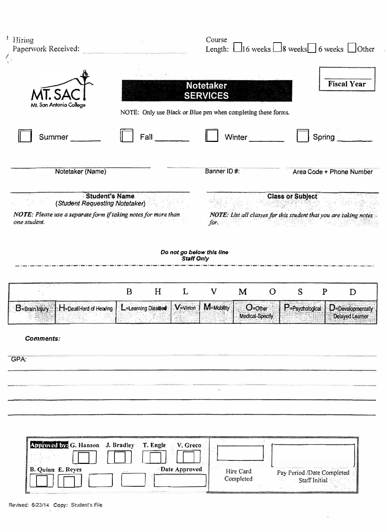| Notetaker                                      |        |                                                                                                                                                                                                                                                                                 |
|------------------------------------------------|--------|---------------------------------------------------------------------------------------------------------------------------------------------------------------------------------------------------------------------------------------------------------------------------------|
| <b>SERVICES</b>                                |        | <b>Fiscal Year</b>                                                                                                                                                                                                                                                              |
|                                                |        | Spring                                                                                                                                                                                                                                                                          |
| Banner ID#:                                    |        | Area Code + Phone Number                                                                                                                                                                                                                                                        |
| for.                                           |        |                                                                                                                                                                                                                                                                                 |
| Do not go below this line<br><b>Staff Only</b> |        |                                                                                                                                                                                                                                                                                 |
| V                                              | S<br>O | $\mathbf{P}$<br>D                                                                                                                                                                                                                                                               |
|                                                |        | $\overline{\phantom{a}}$ $D$ -Developmentally<br>Delayed Learner                                                                                                                                                                                                                |
|                                                |        |                                                                                                                                                                                                                                                                                 |
| V. Greco<br>Date Approved                      |        | Pay Period /Date Completed<br>Staff Initial                                                                                                                                                                                                                                     |
|                                                | M      | NOTE: Only use Black or Blue pen when completing these forms.<br>Winter<br><b>Class or Subject</b><br>NOTE: List all classes for this student that you are taking notes<br>V=Vision   M=Mobility   O=Other<br>$P = P$ sychological<br>Medical-Specify<br>Hire Card<br>Completed |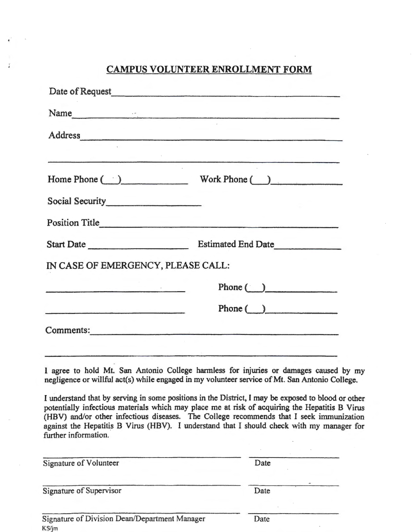## **CAMPUS VOLUNTEER ENROLLMENT FORM**

| Date of Request<br><u>Date</u> of Request<br><u>Date</u> of Request<br><u>Example</u> |                                                                                                                                                                                                                                                                                                                                                                                              |
|---------------------------------------------------------------------------------------|----------------------------------------------------------------------------------------------------------------------------------------------------------------------------------------------------------------------------------------------------------------------------------------------------------------------------------------------------------------------------------------------|
|                                                                                       | Name                                                                                                                                                                                                                                                                                                                                                                                         |
|                                                                                       | Address                                                                                                                                                                                                                                                                                                                                                                                      |
|                                                                                       | 。<br>"我们的,我们就会不会不会不会不会不会不会不会不会不会不会不会不会不会。"  "我们的,我们也不会不会不会不会不会不会不会不会,我们的,我们的,我们也不会不会不会                                                                                                                                                                                                                                                                                                       |
|                                                                                       | Home Phone ( ) Work Phone ( )                                                                                                                                                                                                                                                                                                                                                                |
| Social Security<br><u>Social Security</u>                                             |                                                                                                                                                                                                                                                                                                                                                                                              |
|                                                                                       |                                                                                                                                                                                                                                                                                                                                                                                              |
|                                                                                       |                                                                                                                                                                                                                                                                                                                                                                                              |
| IN CASE OF EMERGENCY, PLEASE CALL:                                                    |                                                                                                                                                                                                                                                                                                                                                                                              |
|                                                                                       | Phone $\bigcirc$                                                                                                                                                                                                                                                                                                                                                                             |
|                                                                                       | $Phone(\_)$                                                                                                                                                                                                                                                                                                                                                                                  |
| Comments:                                                                             |                                                                                                                                                                                                                                                                                                                                                                                              |
|                                                                                       | <u> 1988 - Samuel Samuel Barbon (Samuel Samuel Barbon (Samuel Samuel Samuel Samuel Samuel Samuel Samuel Samuel Sa</u>                                                                                                                                                                                                                                                                        |
|                                                                                       | I agree to hold Mt. San Antonio College harmless for injuries or damages caused by my<br>negligence or willful act(s) while engaged in my volunteer service of Mt. San Antonio College.                                                                                                                                                                                                      |
|                                                                                       | I understand that by serving in some positions in the District, I may be exposed to blood or other<br>potentially infectious materials which may place me at risk of acquiring the Hepatitis B Virus<br>(HBV) and/or other infectious diseases. The College recommends that I seek immunization<br>against the Hepatitis B Virus (HBV). I understand that I should check with my manager for |

| **************************                             |      |  |  |
|--------------------------------------------------------|------|--|--|
|                                                        |      |  |  |
| Signature of Volunteer                                 | Date |  |  |
| Signature of Supervisor                                | Date |  |  |
| Signature of Division Dean/Department Manager<br>KS/jm | Date |  |  |

further information.

 $\frac{\pi}{4}$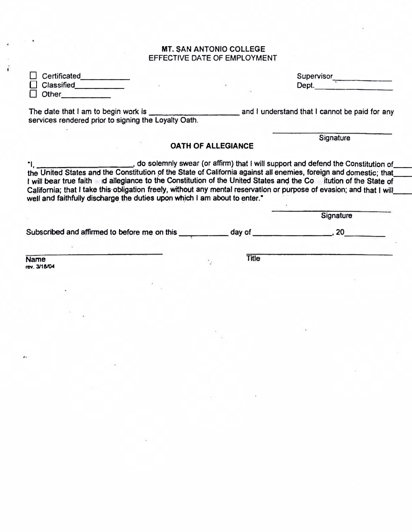#### MT. SAN ANTONIO COLLEGE EFFECTIVE DATE OF EMPLOYMENT

| $\Box$ Certificated |  | Supervisor |
|---------------------|--|------------|
| $\Box$ Classified   |  | Dept.      |
| –<br>Other          |  |            |

The date that I am to begin work is \_\_\_\_\_\_\_\_\_ and I understand that I cannot be paid for any services rendered prior to signing the Loyalty Oath.

**Signature** 

#### OATH OF ALLEGIANCE

"I, \_\_\_\_\_\_\_\_\_\_\_, do solemnly swear (or affirm} that I will support and defend the Constitution of\_\_\_\_\_ the United States and the Constitution of the State of California against all enemies, foreign and domestic; that I will bear true faith id allegiance to the Constitution of the United States and the Constitution of the State of California; that I take this obligation freely, without any mental reservation or purpose of evasion; and that I will\_<br>well and faithfully discharge the duties upon which I am about to enter.\*

|                                              |        | Signature |  |
|----------------------------------------------|--------|-----------|--|
| Subscribed and affirmed to before me on this | day of |           |  |
|                                              |        |           |  |
| <b>Name</b>                                  | Title  |           |  |

**rev.3118/04**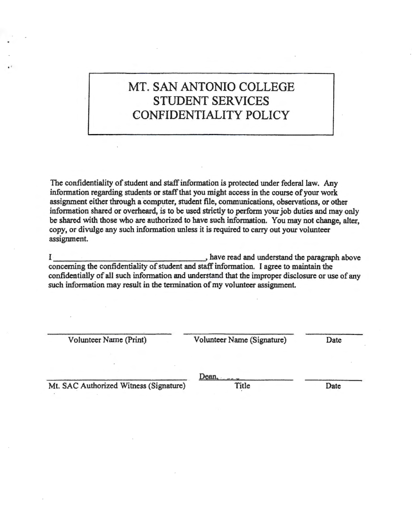# MT. SAN ANTONIO COLLEGE STUDENT SERVICES CONFIDENTIALITY POLICY

The confidentiality of student and staff information is protected under federal law. Any information regarding students or staff that you might access in the course of your work assignment either through a computer, student file, communications, observations, or other information shared or overheard, is to be used strictly to perform your job duties and may only be shared with those who are authorized to have such information. You may not change, alter, copy, or divulge any such information unless it is required to carry out your volunteer assignment.

I \_\_\_\_\_\_\_\_\_\_\_\_\_\_\_\_, have read and understand the paragraph above concerning the confidentiality of student and staff information. I agree to maintain the confidentially of all such information and understand that the improper disclosure or use of any such information may result in the termination of my volunteer assignment.

Volunteer Name (Print) Volunteer Name (Signature) Date

Mt. SAC Authorized Witness (Signature) Title Title Date

Dean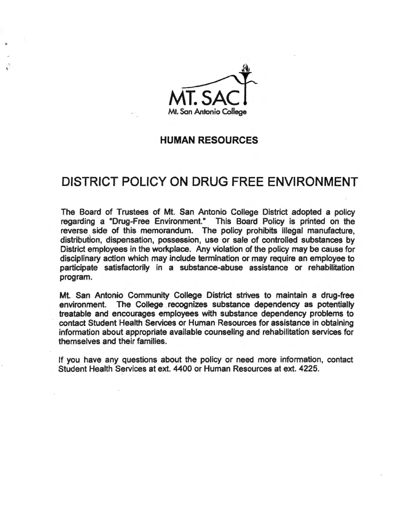

### **HUMAN RESOURCES**

## **DISTRICT POLICY ON DRUG FREE ENVIRONMENT**

The Board of Trustees of Mt. San Antonio College District adopted a policy regarding a "Drug-Free Environment." This Board Policy is printed on the reverse side of this memorandum. The policy prohibits illegal manufacture, distribution, dispensation, possession, use or sale of controlled substances by District employees in the workplace. Any violation of the policy may be cause for disciplinary action which may include termination or may require an employee to participate satisfactorily in a substance-abuse assistance or rehabilitation program.

Mt. San Antonio Community College District strives to maintain a drug-free environment. The College recognizes substance dependency as potentially treatable and encourages employees with substance dependency problems to contact Student Health Services or Human Resources for assistance in obtaining information about appropriate available counseling and rehabilitation services for themselves and their families.

If you have any questions about the policy or need more information, contact Student Health Services at ext. 4400 or Human Resources at ext. 4225.